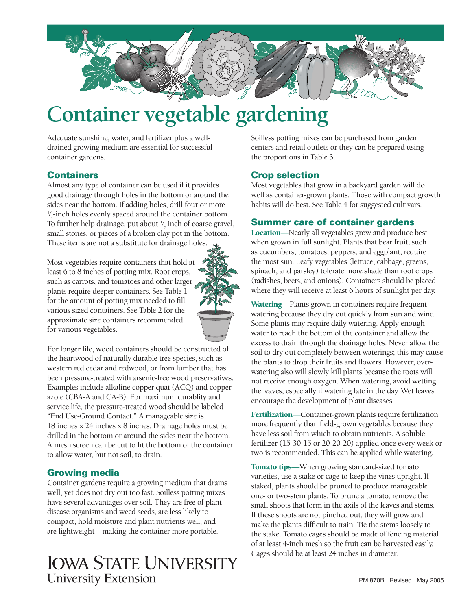

# **Container vegetable gardening**

Adequate sunshine, water, and fertilizer plus a welldrained growing medium are essential for successful container gardens.

# **Containers**

Almost any type of container can be used if it provides good drainage through holes in the bottom or around the sides near the bottom. If adding holes, drill four or more  $\frac{1}{4}$ -inch holes evenly spaced around the container bottom. ⁄ To further help drainage, put about  $\frac{1}{2}$  inch of coarse gravel, ⁄ small stones, or pieces of a broken clay pot in the bottom. These items are not a substitute for drainage holes.

Most vegetables require containers that hold at least 6 to 8 inches of potting mix. Root crops, such as carrots, and tomatoes and other larger plants require deeper containers. See Table 1 for the amount of potting mix needed to fill various sized containers. See Table 2 for the approximate size containers recommended for various vegetables.



For longer life, wood containers should be constructed of the heartwood of naturally durable tree species, such as western red cedar and redwood, or from lumber that has been pressure-treated with arsenic-free wood preservatives. Examples include alkaline copper quat (ACQ) and copper azole (CBA-A and CA-B). For maximum durablity and service life, the pressure-treated wood should be labeled "End Use-Ground Contact." A manageable size is 18 inches x 24 inches x 8 inches. Drainage holes must be drilled in the bottom or around the sides near the bottom. A mesh screen can be cut to fit the bottom of the container to allow water, but not soil, to drain.

# Growing media

Container gardens require a growing medium that drains well, yet does not dry out too fast. Soilless potting mixes have several advantages over soil. They are free of plant disease organisms and weed seeds, are less likely to compact, hold moisture and plant nutrients well, and are lightweight—making the container more portable.

# **IOWA STATE UNIVERSITY University Extension**

Soilless potting mixes can be purchased from garden centers and retail outlets or they can be prepared using the proportions in Table 3.

# Crop selection

Most vegetables that grow in a backyard garden will do well as container-grown plants. Those with compact growth habits will do best. See Table 4 for suggested cultivars.

## Summer care of container gardens

Location—Nearly all vegetables grow and produce best when grown in full sunlight. Plants that bear fruit, such as cucumbers, tomatoes, peppers, and eggplant, require the most sun. Leafy vegetables (lettuce, cabbage, greens, spinach, and parsley) tolerate more shade than root crops (radishes, beets, and onions). Containers should be placed where they will receive at least 6 hours of sunlight per day.

Watering-Plants grown in containers require frequent watering because they dry out quickly from sun and wind. Some plants may require daily watering. Apply enough water to reach the bottom of the container and allow the excess to drain through the drainage holes. Never allow the soil to dry out completely between waterings; this may cause the plants to drop their fruits and flowers. However, overwatering also will slowly kill plants because the roots will not receive enough oxygen. When watering, avoid wetting the leaves, especially if watering late in the day. Wet leaves encourage the development of plant diseases.

Fertilization-Container-grown plants require fertilization more frequently than field-grown vegetables because they have less soil from which to obtain nutrients. A soluble fertilizer (15-30-15 or 20-20-20) applied once every week or two is recommended. This can be applied while watering.

Tomato tips—When growing standard-sized tomato varieties, use a stake or cage to keep the vines upright. If staked, plants should be pruned to produce manageable one- or two-stem plants. To prune a tomato, remove the small shoots that form in the axils of the leaves and stems. If these shoots are not pinched out, they will grow and make the plants difficult to train. Tie the stems loosely to the stake. Tomato cages should be made of fencing material of at least 4-inch mesh so the fruit can be harvested easily. Cages should be at least 24 inches in diameter.